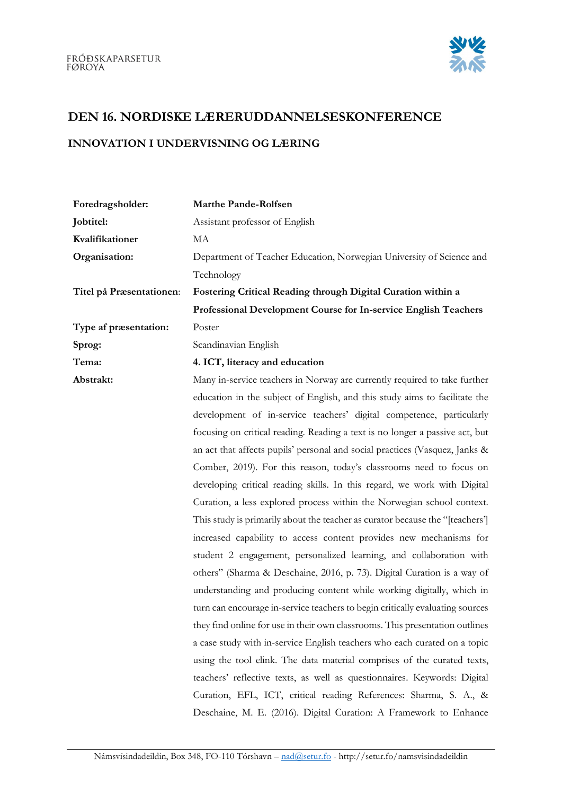

## DEN 16. NORDISKE LÆRERUDDANNELSESKONFERENCE

## INNOVATION I UNDERVISNING OG LÆRING

| Foredragsholder:         | <b>Marthe Pande-Rolfsen</b>                                                   |
|--------------------------|-------------------------------------------------------------------------------|
| Jobtitel:                | Assistant professor of English                                                |
| Kvalifikationer          | MA                                                                            |
| Organisation:            | Department of Teacher Education, Norwegian University of Science and          |
|                          | Technology                                                                    |
| Titel på Præsentationen: | Fostering Critical Reading through Digital Curation within a                  |
|                          | Professional Development Course for In-service English Teachers               |
| Type af præsentation:    | Poster                                                                        |
| Sprog:                   | Scandinavian English                                                          |
| Tema:                    | 4. ICT, literacy and education                                                |
| Abstrakt:                | Many in-service teachers in Norway are currently required to take further     |
|                          | education in the subject of English, and this study aims to facilitate the    |
|                          | development of in-service teachers' digital competence, particularly          |
|                          | focusing on critical reading. Reading a text is no longer a passive act, but  |
|                          | an act that affects pupils' personal and social practices (Vasquez, Janks &   |
|                          | Comber, 2019). For this reason, today's classrooms need to focus on           |
|                          | developing critical reading skills. In this regard, we work with Digital      |
|                          | Curation, a less explored process within the Norwegian school context.        |
|                          | This study is primarily about the teacher as curator because the "[teachers'] |
|                          | increased capability to access content provides new mechanisms for            |
|                          | student 2 engagement, personalized learning, and collaboration with           |
|                          | others" (Sharma & Deschaine, 2016, p. 73). Digital Curation is a way of       |
|                          | understanding and producing content while working digitally, which in         |
|                          | turn can encourage in-service teachers to begin critically evaluating sources |
|                          | they find online for use in their own classrooms. This presentation outlines  |
|                          | a case study with in-service English teachers who each curated on a topic     |
|                          | using the tool elink. The data material comprises of the curated texts,       |
|                          | teachers' reflective texts, as well as questionnaires. Keywords: Digital      |
|                          | Curation, EFL, ICT, critical reading References: Sharma, S. A., &             |
|                          | Deschaine, M. E. (2016). Digital Curation: A Framework to Enhance             |